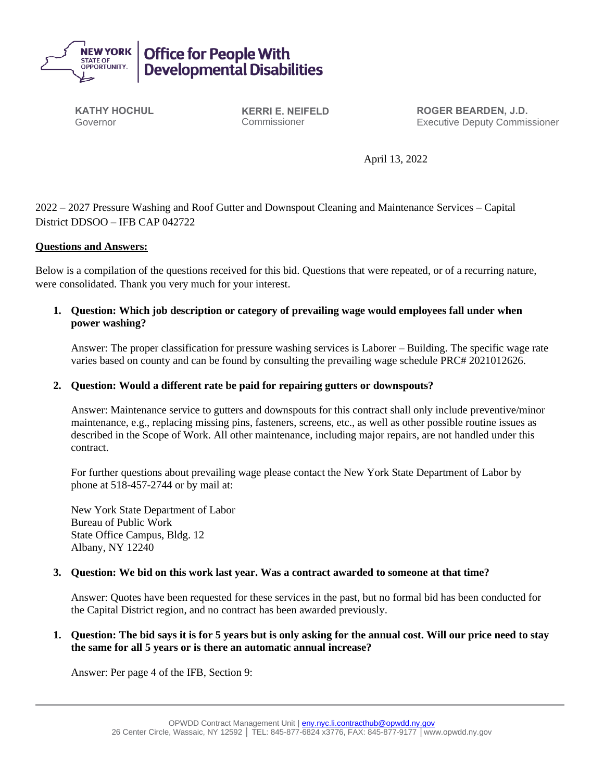

**KATHY HOCHUL** Governor

**KERRI E. NEIFELD** Commissioner

**ROGER BEARDEN, J.D.** Executive Deputy Commissioner

April 13, 2022

2022 – 2027 Pressure Washing and Roof Gutter and Downspout Cleaning and Maintenance Services – Capital District DDSOO – IFB CAP 042722

## **Questions and Answers:**

Below is a compilation of the questions received for this bid. Questions that were repeated, or of a recurring nature, were consolidated. Thank you very much for your interest.

**1. Question: Which job description or category of prevailing wage would employees fall under when power washing?**

Answer: The proper classification for pressure washing services is Laborer – Building. The specific wage rate varies based on county and can be found by consulting the prevailing wage schedule PRC# 2021012626.

## **2. Question: Would a different rate be paid for repairing gutters or downspouts?**

Answer: Maintenance service to gutters and downspouts for this contract shall only include preventive/minor maintenance, e.g., replacing missing pins, fasteners, screens, etc., as well as other possible routine issues as described in the Scope of Work. All other maintenance, including major repairs, are not handled under this contract.

For further questions about prevailing wage please contact the New York State Department of Labor by phone at 518-457-2744 or by mail at:

New York State Department of Labor Bureau of Public Work State Office Campus, Bldg. 12 Albany, NY 12240

## **3. Question: We bid on this work last year. Was a contract awarded to someone at that time?**

Answer: Quotes have been requested for these services in the past, but no formal bid has been conducted for the Capital District region, and no contract has been awarded previously.

## **1. Question: The bid says it is for 5 years but is only asking for the annual cost. Will our price need to stay the same for all 5 years or is there an automatic annual increase?**

Answer: Per page 4 of the IFB, Section 9: